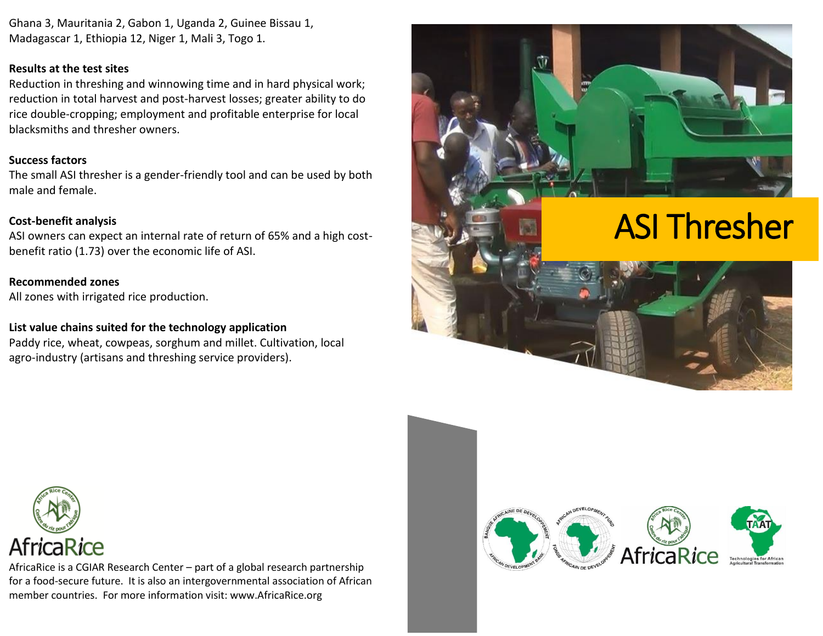Ghana 3, Mauritania 2, Gabon 1, Uganda 2, Guinee Bissau 1, Madagascar 1, Ethiopia 12, Niger 1, Mali 3, Togo 1.

### **Results at the test sites**

Reduction in threshing and winnowing time and in hard physical work; reduction in total harvest and post-harvest losses; greater ability to do rice double-cropping; employment and profitable enterprise for local blacksmiths and thresher owners.

### **Success factors**

The small ASI thresher is a gender-friendly tool and can be used by both male and female.

### **Cost-benefit analysis**

ASI owners can expect an internal rate of return of 65% and a high costbenefit ratio (1.73) over the economic life of ASI.

**Recommended zones** All zones with irrigated rice production.

### **List value chains suited for the technology application**

Paddy rice, wheat, cowpeas, sorghum and millet. Cultivation, local agro-industry (artisans and threshing service providers).



# ASI Thresher



AfricaRice is a CGIAR Research Center – part of a global research partnership for a food-secure future. It is also an intergovernmental association of African member countries. For more information visit: www.AfricaRice.org